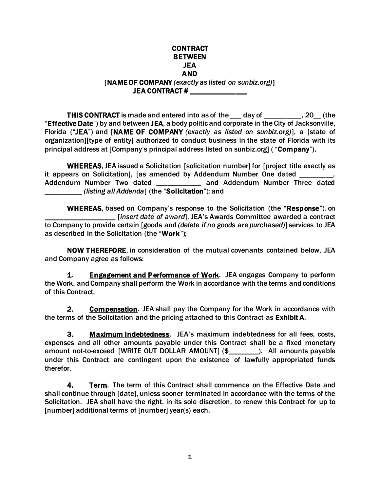#### CONTRACT BETWEEN JEA AND

### [NAME OF COMPANY *(exactly as listed on sunbiz.org)*] JEA CONTRACT #

THIS CONTRACT is made and entered into as of the \_\_\_ day of \_\_\_\_\_\_\_\_\_\_, 20\_\_ (the "Effective Date") by and between JEA, a body politic and corporate in the City of Jacksonville, Florida ("JEA") and [NAME OF COMPANY *(exactly as listed on sunbiz.org)*], a [state of organization][type of entity] authorized to conduct business in the state of Florida with its principal address at [Company's principal address listed on sunbiz.org] ( "Company").

WHEREAS, JEA issued a Solicitation [solicitation number] for [project title exactly as it appears on Solicitation], [as amended by Addendum Number One dated Addendum Number Two dated \_\_\_\_\_\_\_\_\_\_\_\_ and Addendum Number Three dated \_\_\_\_\_\_\_\_\_\_ *(listing all Addenda*] (the "Solicitation"); and

WHEREAS, based on Company's response to the Solicitation (the "Response"), on \_\_\_\_\_\_\_\_\_\_\_\_\_\_\_\_\_\_\_ [*insert date of award*], JEA's Awards Committee awarded a contract to Company to provide certain [goods and *(delete if no goods are purchased)*] services to JEA as described in the Solicitation (the "Work");

NOW THEREFORE, in consideration of the mutual covenants contained below, JEA and Company agree as follows:

1. Engagement and Performance of Work. JEA engages Company to perform the Work, and Company shall perform the Work in accordance with the terms and conditions of this Contract.

2. Compensation. JEA shall pay the Company for the Work in accordance with the terms of the Solicitation and the pricing attached to this Contract as Exhibit A.

3. Maximum Indebtedness. JEA's maximum indebtedness for all fees, costs, expenses and all other amounts payable under this Contract shall be a fixed monetary amount not-to-exceed [WRITE OUT DOLLAR AMOUNT] (\$\_\_\_\_\_\_\_\_). All amounts payable under this Contract are contingent upon the existence of lawfully appropriated funds therefor.

4. Term. The term of this Contract shall commence on the Effective Date and shall continue through [date], unless sooner terminated in accordance with the terms of the Solicitation. JEA shall have the right, in its sole discretion, to renew this Contract for up to [number] additional terms of [number] year(s) each.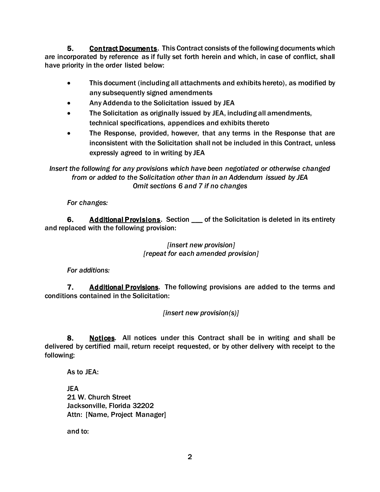5. Contract Documents. This Contract consists of the following documents which are incorporated by reference as if fully set forth herein and which, in case of conflict, shall have priority in the order listed below:

- This document (including all attachments and exhibits hereto), as modified by any subsequently signed amendments
- Any Addenda to the Solicitation issued by JEA
- The Solicitation as originally issued by JEA, including all amendments, technical specifications, appendices and exhibits thereto
- The Response, provided, however, that any terms in the Response that are inconsistent with the Solicitation shall not be included in this Contract, unless expressly agreed to in writing by JEA

*Insert the following for any provisions which have been negotiated or otherwise changed from or added to the Solicitation other than in an Addendum issued by JEA Omit sections 6 and 7 if no changes*

*For changes:*

6. Additional Provisions. Section \_\_\_ of the Solicitation is deleted in its entirety and replaced with the following provision:

### *[insert new provision] [repeat for each amended provision]*

*For additions:*

**7.** Additional Provisions. The following provisions are added to the terms and conditions contained in the Solicitation:

*[insert new provision(s)]*

8. Notices. All notices under this Contract shall be in writing and shall be delivered by certified mail, return receipt requested, or by other delivery with receipt to the following:

As to JEA:

JEA 21 W. Church Street Jacksonville, Florida 32202 Attn: [Name, Project Manager]

and to: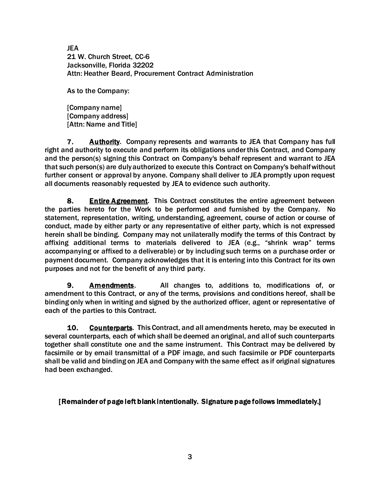JEA 21 W. Church Street, CC-6 Jacksonville, Florida 32202 Attn: Heather Beard, Procurement Contract Administration

As to the Company:

[Company name] [Company address] [Attn: Name and Title]

7. Authority. Company represents and warrants to JEA that Company has full right and authority to execute and perform its obligations under this Contract, and Company and the person(s) signing this Contract on Company's behalf represent and warrant to JEA that such person(s) are duly authorized to execute this Contract on Company's behalf without further consent or approval by anyone. Company shall deliver to JEA promptly upon request all documents reasonably requested by JEA to evidence such authority.

8. Entire Agreement. This Contract constitutes the entire agreement between the parties hereto for the Work to be performed and furnished by the Company. No statement, representation, writing, understanding, agreement, course of action or course of conduct, made by either party or any representative of either party, which is not expressed herein shall be binding. Company may not unilaterally modify the terms of this Contract by affixing additional terms to materials delivered to JEA (e.g., "shrink wrap" terms accompanying or affixed to a deliverable) or by including such terms on a purchase order or payment document. Company acknowledges that it is entering into this Contract for its own purposes and not for the benefit of any third party.

9. **Amendments.** All changes to, additions to, modifications of, or amendment to this Contract, or any of the terms, provisions and conditions hereof, shall be binding only when in writing and signed by the authorized officer, agent or representative of each of the parties to this Contract.

**10.** Counterparts. This Contract, and all amendments hereto, may be executed in several counterparts, each of which shall be deemed an original, and all of such counterparts together shall constitute one and the same instrument. This Contract may be delivered by facsimile or by email transmittal of a PDF image, and such facsimile or PDF counterparts shall be valid and binding on JEA and Company with the same effect as if original signatures had been exchanged.

### [Remainder of page left blank intentionally. Signature page follows immediately.]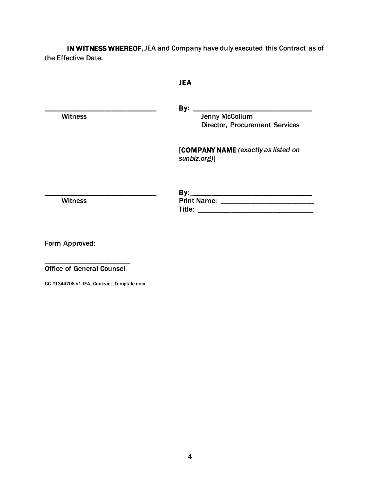IN WITNESS WHEREOF, JEA and Company have duly executed this Contract as of the Effective Date.

## JEA

\_\_\_\_\_\_\_\_\_\_\_\_\_\_\_\_\_\_\_\_\_\_\_\_\_\_\_\_\_\_ By: \_\_\_\_\_\_\_\_\_\_\_\_\_\_\_\_\_\_\_\_\_\_\_\_\_\_\_\_\_\_\_\_ Witness **Witness** Jenny McCollum Director, Procurement Services

> [COMPANY NAME *(exactly as listed on sunbiz.org)*]

\_\_\_\_\_\_\_\_\_\_\_\_\_\_\_\_\_\_\_\_\_\_\_\_\_\_\_\_\_\_ By: \_\_\_\_\_\_\_\_\_\_\_\_\_\_\_\_\_\_\_\_\_\_\_\_\_\_\_\_\_\_\_\_ Witness Print Name: \_\_\_\_\_\_\_\_\_\_\_\_\_\_\_\_\_\_\_\_\_\_\_\_\_ Title: \_\_\_\_\_\_\_\_\_\_\_\_\_\_\_\_\_\_\_\_\_\_\_\_\_\_\_\_\_\_\_

Form Approved:

\_\_\_\_\_\_\_\_\_\_\_\_\_\_\_\_\_\_\_\_\_\_\_ Office of General Counsel

GC-#1344706-v1-JEA\_Contract\_Template.docx